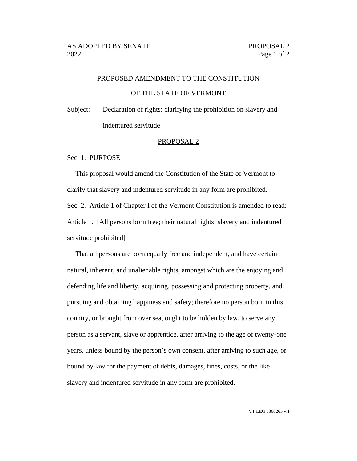## PROPOSED AMENDMENT TO THE CONSTITUTION

## OF THE STATE OF VERMONT

Subject: Declaration of rights; clarifying the prohibition on slavery and indentured servitude

#### PROPOSAL 2

### Sec. 1. PURPOSE

This proposal would amend the Constitution of the State of Vermont to clarify that slavery and indentured servitude in any form are prohibited. Sec. 2. Article 1 of Chapter I of the Vermont Constitution is amended to read: Article 1. [All persons born free; their natural rights; slavery and indentured servitude prohibited]

That all persons are born equally free and independent, and have certain natural, inherent, and unalienable rights, amongst which are the enjoying and defending life and liberty, acquiring, possessing and protecting property, and pursuing and obtaining happiness and safety; therefore no person born in this country, or brought from over sea, ought to be holden by law, to serve any person as a servant, slave or apprentice, after arriving to the age of twenty-one years, unless bound by the person's own consent, after arriving to such age, or bound by law for the payment of debts, damages, fines, costs, or the like slavery and indentured servitude in any form are prohibited.

VT LEG #360265 v.1